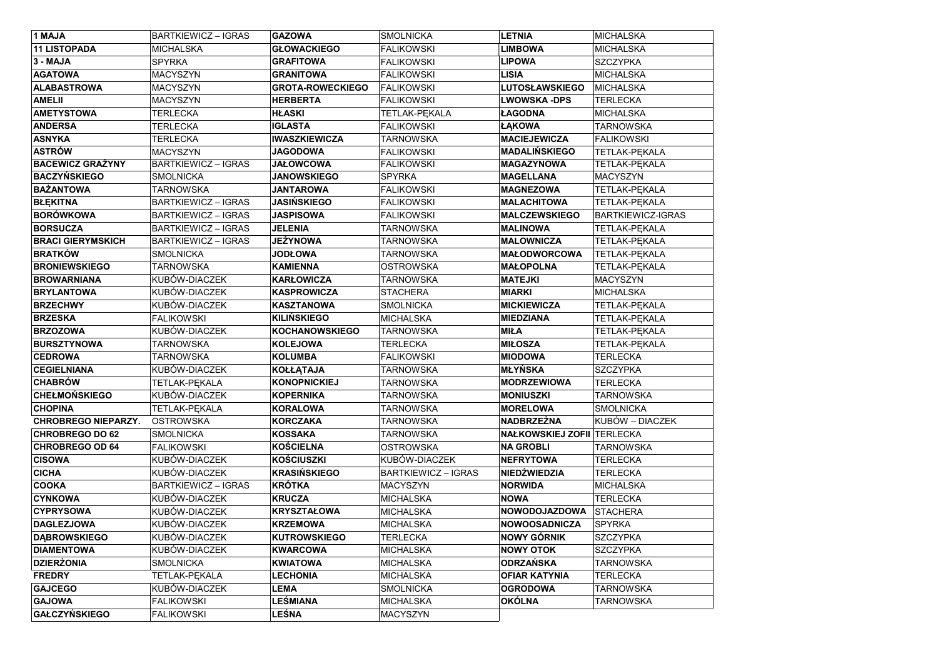| 1 MAJA                     | <b>BARTKIEWICZ - IGRAS</b> | <b>GAZOWA</b>           | <b>SMOLNICKA</b>           | <b>LETNIA</b>                     | <b>MICHALSKA</b>         |
|----------------------------|----------------------------|-------------------------|----------------------------|-----------------------------------|--------------------------|
| <b>11 LISTOPADA</b>        | <b>MICHALSKA</b>           | <b>GŁOWACKIEGO</b>      | <b>FALIKOWSKI</b>          | <b>LIMBOWA</b>                    | MICHALSKA                |
| 3 - MAJA                   | <b>SPYRKA</b>              | <b>GRAFITOWA</b>        | <b>FALIKOWSKI</b>          | <b>LIPOWA</b>                     | <b>SZCZYPKA</b>          |
| <b>AGATOWA</b>             | MACYSZYN                   | <b>GRANITOWA</b>        | <b>FALIKOWSKI</b>          | <b>LISIA</b>                      | <b>MICHALSKA</b>         |
| <b>ALABASTROWA</b>         | <b>MACYSZYN</b>            | <b>GROTA-ROWECKIEGO</b> | <b>FALIKOWSKI</b>          | <b>LUTOSŁAWSKIEGO</b>             | MICHALSKA                |
| <b>AMELII</b>              | <b>MACYSZYN</b>            | <b>HERBERTA</b>         | <b>FALIKOWSKI</b>          | <b>LWOWSKA -DPS</b>               | <b>TERLECKA</b>          |
| <b>AMETYSTOWA</b>          | TERLECKA                   | <b>HŁASKI</b>           | <b>TETLAK-PEKALA</b>       | ŁAGODNA                           | <b>MICHALSKA</b>         |
| <b>ANDERSA</b>             | TERLECKA                   | <b>IGLASTA</b>          | <b>FALIKOWSKI</b>          | <b>ŁĄKOWA</b>                     | <b>TARNOWSKA</b>         |
| <b>ASNYKA</b>              | <b>TERLECKA</b>            | <b>IWASZKIEWICZA</b>    | <b>TARNOWSKA</b>           | <b>MACIEJEWICZA</b>               | <b>FALIKOWSKI</b>        |
| <b>ASTRÓW</b>              | <b>MACYSZYN</b>            | <b>JAGODOWA</b>         | <b>FALIKOWSKI</b>          | <b>MADALIŃSKIEGO</b>              | <b>TETLAK-PEKALA</b>     |
| <b>BACEWICZ GRAŻYNY</b>    | <b>BARTKIEWICZ - IGRAS</b> | <b>JAŁOWCOWA</b>        | <b>FALIKOWSKI</b>          | <b>MAGAZYNOWA</b>                 | TETLAK-PĘKALA            |
| <b>BACZYŃSKIEGO</b>        | SMOLNICKA                  | <b>JANOWSKIEGO</b>      | <b>SPYRKA</b>              | <b>MAGELLANA</b>                  | <b>MACYSZYN</b>          |
| <b>BAŻANTOWA</b>           | <b>TARNOWSKA</b>           | <b>JANTAROWA</b>        | <b>FALIKOWSKI</b>          | <b>MAGNEZOWA</b>                  | TETLAK-PEKALA            |
| <b>BŁĘKITNA</b>            | <b>BARTKIEWICZ - IGRAS</b> | <b>JASIŃSKIEGO</b>      | <b>FALIKOWSKI</b>          | <b>MALACHITOWA</b>                | TETLAK-PĘKALA            |
| <b>BORÓWKOWA</b>           | <b>BARTKIEWICZ - IGRAS</b> | <b>JASPISOWA</b>        | <b>FALIKOWSKI</b>          | <b>MALCZEWSKIEGO</b>              | <b>BARTKIEWICZ-IGRAS</b> |
| <b>BORSUCZA</b>            | <b>BARTKIEWICZ - IGRAS</b> | <b>JELENIA</b>          | TARNOWSKA                  | <b>MALINOWA</b>                   | TETLAK-PĘKALA            |
| <b>BRACI GIERYMSKICH</b>   | <b>BARTKIEWICZ - IGRAS</b> | <b>JEŻYNOWA</b>         | TARNOWSKA                  | <b>MALOWNICZA</b>                 | TETLAK-PĘKALA            |
| <b>BRATKÓW</b>             | <b>SMOLNICKA</b>           | <b>JODŁOWA</b>          | TARNOWSKA                  | <b>MAŁODWORCOWA</b>               | TETLAK-PĘKALA            |
| <b>BRONIEWSKIEGO</b>       | TARNOWSKA                  | <b>KAMIENNA</b>         | <b>OSTROWSKA</b>           | <b>MAŁOPOLNA</b>                  | TETLAK-PEKALA            |
| <b>BROWARNIANA</b>         | KUBÓW-DIACZEK              | <b>KARŁOWICZA</b>       | <b>TARNOWSKA</b>           | <b>MATEJKI</b>                    | <b>MACYSZYN</b>          |
| <b>BRYLANTOWA</b>          | KUBÓW-DIACZEK              | KASPROWICZA             | STACHERA                   | <b>MIARKI</b>                     | MICHALSKA                |
| <b>BRZECHWY</b>            | KUBÓW-DIACZEK              | <b>KASZTANOWA</b>       | SMOLNICKA                  | <b>MICKIEWICZA</b>                | TETLAK-PĘKALA            |
| <b>BRZESKA</b>             | <b>FALIKOWSKI</b>          | <b>KILIŃSKIEGO</b>      | <b>MICHALSKA</b>           | <b>MIEDZIANA</b>                  | <b>TETLAK-PEKALA</b>     |
| <b>BRZOZOWA</b>            | KUBÓW-DIACZEK              | <b>KOCHANOWSKIEGO</b>   | TARNOWSKA                  | <b>MIŁA</b>                       | TETLAK-PEKALA            |
| <b>BURSZTYNOWA</b>         | TARNOWSKA                  | <b>KOLEJOWA</b>         | <b>TERLECKA</b>            | <b>MIŁOSZA</b>                    | <b>TETLAK-PEKALA</b>     |
| <b>CEDROWA</b>             | TARNOWSKA                  | <b>KOLUMBA</b>          | <b>FALIKOWSKI</b>          | <b>MIODOWA</b>                    | TERLECKA                 |
| <b>CEGIELNIANA</b>         | KUBÓW-DIACZEK              | <b>KOŁŁĄTAJA</b>        | <b>TARNOWSKA</b>           | <b>MŁYŃSKA</b>                    | <b>SZCZYPKA</b>          |
| <b>CHABRÓW</b>             | TETLAK-PĘKALA              | <b>KONOPNICKIEJ</b>     | TARNOWSKA                  | <b>MODRZEWIOWA</b>                | <b>TERLECKA</b>          |
| <b>CHEŁMOŃSKIEGO</b>       | KUBÓW-DIACZEK              | <b>KOPERNIKA</b>        | TARNOWSKA                  | <b>MONIUSZKI</b>                  | <b>TARNOWSKA</b>         |
| <b>CHOPINA</b>             | TETLAK-PĘKALA              | <b>KORALOWA</b>         | TARNOWSKA                  | <b>MORELOWA</b>                   | <b>SMOLNICKA</b>         |
| <b>CHROBREGO NIEPARZY.</b> | <b>OSTROWSKA</b>           | <b>KORCZAKA</b>         | <b>TARNOWSKA</b>           | <b>NADBRZEŻNA</b>                 | KUBÓW – DIACZEK          |
| <b>CHROBREGO DO 62</b>     | <b>SMOLNICKA</b>           | <b>KOSSAKA</b>          | TARNOWSKA                  | <b>NAŁKOWSKIEJ ZOFII TERLECKA</b> |                          |
| <b>CHROBREGO OD 64</b>     | <b>FALIKOWSKI</b>          | <b>KOŚCIELNA</b>        | <b>OSTROWSKA</b>           | <b>NA GROBLI</b>                  | <b>TARNOWSKA</b>         |
| <b>CISOWA</b>              | KUBÓW-DIACZEK              | KOŚCIUSZKI              | KUBÓW-DIACZEK              | <b>NEFRYTOWA</b>                  | <b>TERLECKA</b>          |
| <b>CICHA</b>               | KUBÓW-DIACZEK              | <b>KRASIŃSKIEGO</b>     | <b>BARTKIEWICZ - IGRAS</b> | <b>NIEDŹWIEDZIA</b>               | <b>TERLECKA</b>          |
| <b>COOKA</b>               | <b>BARTKIEWICZ - IGRAS</b> | <b>KRÓTKA</b>           | <b>MACYSZYN</b>            | <b>NORWIDA</b>                    | <b>MICHALSKA</b>         |
| <b>CYNKOWA</b>             | KUBÓW-DIACZEK              | <b>KRUCZA</b>           | <b>MICHALSKA</b>           | <b>NOWA</b>                       | <b>TERLECKA</b>          |
| <b>CYPRYSOWA</b>           | KUBÓW-DIACZEK              | <b>KRYSZTAŁOWA</b>      | <b>MICHALSKA</b>           | <b>NOWODOJAZDOWA</b>              | <b>STACHERA</b>          |
| <b>DAGLEZJOWA</b>          | KUBÓW-DIACZEK              | <b>KRZEMOWA</b>         | <b>MICHALSKA</b>           | <b>NOWOOSADNICZA</b>              | <b>SPYRKA</b>            |
| <b>DABROWSKIEGO</b>        | KUBÓW-DIACZEK              | <b>KUTROWSKIEGO</b>     | <b>TERLECKA</b>            | <b>NOWY GÓRNIK</b>                | <b>SZCZYPKA</b>          |
| <b>DIAMENTOWA</b>          | KUBÓW-DIACZEK              | <b>KWARCOWA</b>         | <b>MICHALSKA</b>           | <b>NOWY OTOK</b>                  | <b>SZCZYPKA</b>          |
| <b>DZIERŻONIA</b>          | <b>SMOLNICKA</b>           | <b>KWIATOWA</b>         | <b>MICHALSKA</b>           | ODRZAŃSKA                         | <b>TARNOWSKA</b>         |
| <b>FREDRY</b>              | TETLAK-PĘKALA              | <b>LECHONIA</b>         | <b>MICHALSKA</b>           | <b>OFIAR KATYNIA</b>              | <b>TERLECKA</b>          |
| <b>GAJCEGO</b>             | KUBÓW-DIACZEK              | <b>LEMA</b>             | <b>SMOLNICKA</b>           | <b>OGRODOWA</b>                   | <b>TARNOWSKA</b>         |
| <b>GAJOWA</b>              | <b>FALIKOWSKI</b>          | LEŚMIANA                | <b>MICHALSKA</b>           | <b>OKÓLNA</b>                     | <b>TARNOWSKA</b>         |
| <b>GAŁCZYŃSKIEGO</b>       | <b>FALIKOWSKI</b>          | LEŚNA                   | <b>MACYSZYN</b>            |                                   |                          |